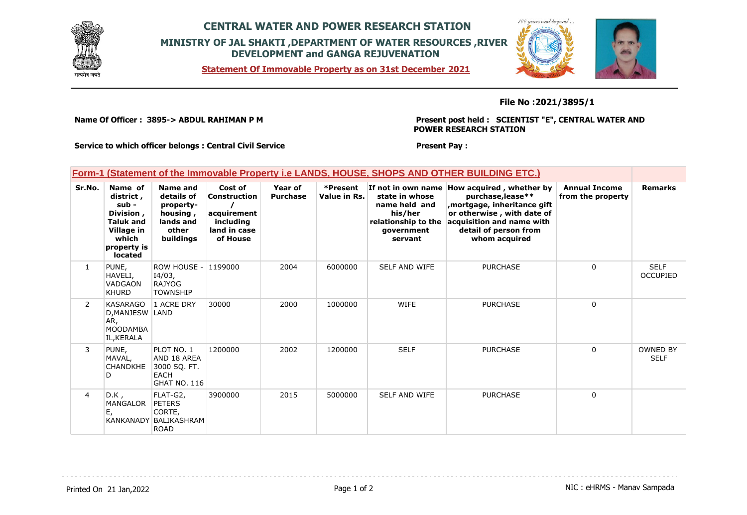

## **CENTRAL WATER AND POWER RESEARCH STATION MINISTRY OF JAL SHAKTI ,DEPARTMENT OF WATER RESOURCES ,RIVER DEVELOPMENT and GANGA REJUVENATION**

**Statement Of Immovable Property as on 31st December 2021**



### **File No :2021/3895/1**

**Name Of Officer : 3895-> ABDUL RAHIMAN P M** 

**Present post held : SCIENTIST "E", CENTRAL WATER AND POWER RESEARCH STATION**

**Service to which officer belongs : Central Civil Service**

**Present Pay :** 

## **Form-1 (Statement of the Immovable Property i.e LANDS, HOUSE, SHOPS AND OTHER BUILDING ETC.)**

| Sr.No.         | Name of<br>district,<br>$sub -$<br>Division,<br><b>Taluk and</b><br>Village in<br>which<br>property is<br>located | Name and<br>details of<br>property-<br>housing,<br>lands and<br>other<br>buildings | Cost of<br>Construction<br>acquirement<br>including<br>land in case<br>of House | Year of<br><b>Purchase</b> | *Present<br>Value in Rs. | If not in own name<br>state in whose<br>name held and<br>his/her<br>relationship to the<br>qovernment<br>servant | How acquired, whether by<br>purchase, lease**<br>mortgage, inheritance gift<br>or otherwise, with date of<br>acquisition and name with<br>detail of person from<br>whom acquired | <b>Annual Income</b><br>from the property | <b>Remarks</b>                 |
|----------------|-------------------------------------------------------------------------------------------------------------------|------------------------------------------------------------------------------------|---------------------------------------------------------------------------------|----------------------------|--------------------------|------------------------------------------------------------------------------------------------------------------|----------------------------------------------------------------------------------------------------------------------------------------------------------------------------------|-------------------------------------------|--------------------------------|
| $\mathbf{1}$   | PUNE,<br>HAVELI,<br>VADGAON<br><b>KHURD</b>                                                                       | <b>ROW HOUSE -</b><br>I4/03,<br><b>RAJYOG</b><br><b>TOWNSHIP</b>                   | 1199000                                                                         | 2004                       | 6000000                  | <b>SELF AND WIFE</b>                                                                                             | <b>PURCHASE</b>                                                                                                                                                                  | 0                                         | <b>SELF</b><br><b>OCCUPIED</b> |
| $\overline{2}$ | <b>KASARAGO</b><br>D, MANJESW LAND<br>AR,<br><b>MOODAMBA</b><br>IL, KERALA                                        | 1 ACRE DRY                                                                         | 30000                                                                           | 2000                       | 1000000                  | <b>WIFE</b>                                                                                                      | <b>PURCHASE</b>                                                                                                                                                                  | $\Omega$                                  |                                |
| 3              | PUNE,<br>MAVAL,<br><b>CHANDKHE</b><br>D                                                                           | PLOT NO. 1<br>AND 18 AREA<br>3000 SQ. FT.<br><b>EACH</b><br><b>GHAT NO. 116</b>    | 1200000                                                                         | 2002                       | 1200000                  | <b>SELF</b>                                                                                                      | <b>PURCHASE</b>                                                                                                                                                                  | $\mathbf 0$                               | <b>OWNED BY</b><br><b>SELF</b> |
| 4              | $D.K$ ,<br><b>MANGALOR</b><br>E,                                                                                  | FLAT-G2,<br><b>PETERS</b><br>CORTE,<br>KANKANADY BALIKASHRAM<br><b>ROAD</b>        | 3900000                                                                         | 2015                       | 5000000                  | <b>SELF AND WIFE</b>                                                                                             | <b>PURCHASE</b>                                                                                                                                                                  | 0                                         |                                |

Printed On 21 Jan, 2022 2001 12:00 Page 1 of 2 Page 1 of 2 NIC : eHRMS - Manav Sampada